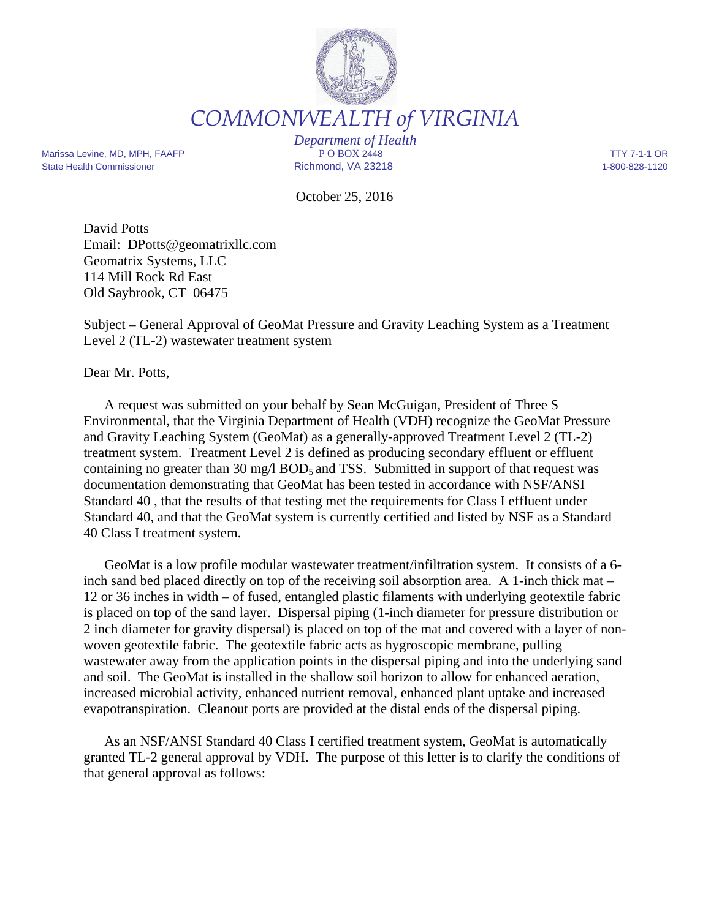

*COMMONWEALTH of VIRGINIA* 

Marissa Levine, MD, MPH, FAAFP **PO BOX 2448** PO BOX 2448 TTY 7-1-1 OR State Health Commissioner Richmond, VA 23218 1-800-828-1120

*Department of Health*

October 25, 2016

David Potts Email: DPotts@geomatrixllc.com Geomatrix Systems, LLC 114 Mill Rock Rd East Old Saybrook, CT 06475

Subject – General Approval of GeoMat Pressure and Gravity Leaching System as a Treatment Level 2 (TL-2) wastewater treatment system

Dear Mr. Potts,

A request was submitted on your behalf by Sean McGuigan, President of Three S Environmental, that the Virginia Department of Health (VDH) recognize the GeoMat Pressure and Gravity Leaching System (GeoMat) as a generally-approved Treatment Level 2 (TL-2) treatment system. Treatment Level 2 is defined as producing secondary effluent or effluent containing no greater than  $30 \text{ mg/l BOD}_5$  and TSS. Submitted in support of that request was documentation demonstrating that GeoMat has been tested in accordance with NSF/ANSI Standard 40 , that the results of that testing met the requirements for Class I effluent under Standard 40, and that the GeoMat system is currently certified and listed by NSF as a Standard 40 Class I treatment system.

GeoMat is a low profile modular wastewater treatment/infiltration system. It consists of a 6 inch sand bed placed directly on top of the receiving soil absorption area. A 1-inch thick mat – 12 or 36 inches in width – of fused, entangled plastic filaments with underlying geotextile fabric is placed on top of the sand layer. Dispersal piping (1-inch diameter for pressure distribution or 2 inch diameter for gravity dispersal) is placed on top of the mat and covered with a layer of nonwoven geotextile fabric. The geotextile fabric acts as hygroscopic membrane, pulling wastewater away from the application points in the dispersal piping and into the underlying sand and soil. The GeoMat is installed in the shallow soil horizon to allow for enhanced aeration, increased microbial activity, enhanced nutrient removal, enhanced plant uptake and increased evapotranspiration. Cleanout ports are provided at the distal ends of the dispersal piping.

As an NSF/ANSI Standard 40 Class I certified treatment system, GeoMat is automatically granted TL-2 general approval by VDH. The purpose of this letter is to clarify the conditions of that general approval as follows: